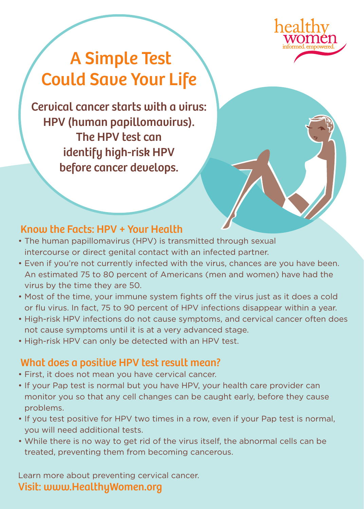

# A Simple Test Could Save Your Life

Cervical cancer starts with a virus: HPV (human papillomavirus). The HPV test can identify high-risk HPV before cancer develops.

### Know the Facts: HPV + Your Health

- The human papillomavirus (HPV) is transmitted through sexual intercourse or direct genital contact with an infected partner.
- Even if you're not currently infected with the virus, chances are you have been. An estimated 75 to 80 percent of Americans (men and women) have had the virus by the time they are 50.
- Most of the time, your immune system fights off the virus just as it does a cold or flu virus. In fact, 75 to 90 percent of HPV infections disappear within a year.
- High-risk HPV infections do not cause symptoms, and cervical cancer often does not cause symptoms until it is at a very advanced stage.
- High-risk HPV can only be detected with an HPV test.

### What does a positive HPV test result mean?

- First, it does not mean you have cervical cancer.
- If your Pap test is normal but you have HPV, your health care provider can monitor you so that any cell changes can be caught early, before they cause problems.
- If you test positive for HPV two times in a row, even if your Pap test is normal, you will need additional tests.
- While there is no way to get rid of the virus itself, the abnormal cells can be treated, preventing them from becoming cancerous.

Learn more about preventing cervical cancer. Visit: www.HealthyWomen.org